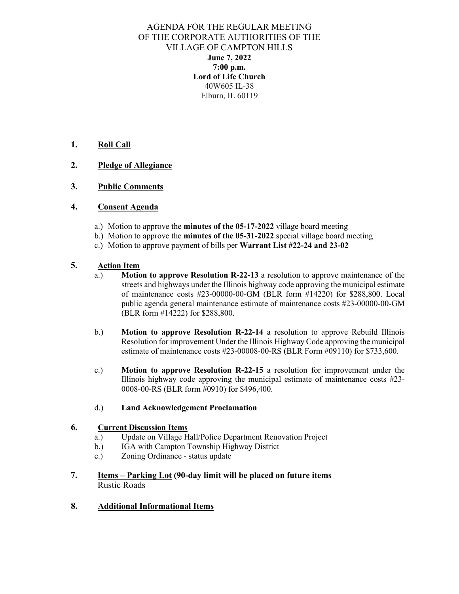AGENDA FOR THE REGULAR MEETING OF THE CORPORATE AUTHORITIES OF THE VILLAGE OF CAMPTON HILLS **June 7, 2022 7:00 p.m. Lord of Life Church**  40W605 IL-38 Elburn, IL 60119

#### **1. Roll Call**

#### **2. Pledge of Allegiance**

#### **3. Public Comments**

#### **4. Consent Agenda**

- a.) Motion to approve the **minutes of the 05-17-2022** village board meeting
- b.) Motion to approve the **minutes of the 05-31-2022** special village board meeting
- c.) Motion to approve payment of bills per **Warrant List #22-24 and 23-02**

#### **5. Action Item**

- a.) **Motion to approve Resolution R-22-13** a resolution to approve maintenance of the streets and highways under the Illinois highway code approving the municipal estimate of maintenance costs #23-00000-00-GM (BLR form #14220) for \$288,800. Local public agenda general maintenance estimate of maintenance costs #23-00000-00-GM (BLR form #14222) for \$288,800.
- b.) **Motion to approve Resolution R-22-14** a resolution to approve Rebuild Illinois Resolution for improvement Under the Illinois Highway Code approving the municipal estimate of maintenance costs #23-00008-00-RS (BLR Form #09110) for \$733,600.
- c.) **Motion to approve Resolution R-22-15** a resolution for improvement under the Illinois highway code approving the municipal estimate of maintenance costs #23- 0008-00-RS (BLR form #0910) for \$496,400.
- d.) **Land Acknowledgement Proclamation**

#### **6. Current Discussion Items**

- a.) Update on Village Hall/Police Department Renovation Project
- b.) IGA with Campton Township Highway District
- c.) Zoning Ordinance status update
- **7. Items – Parking Lot (90-day limit will be placed on future items** Rustic Roads

#### **8. Additional Informational Items**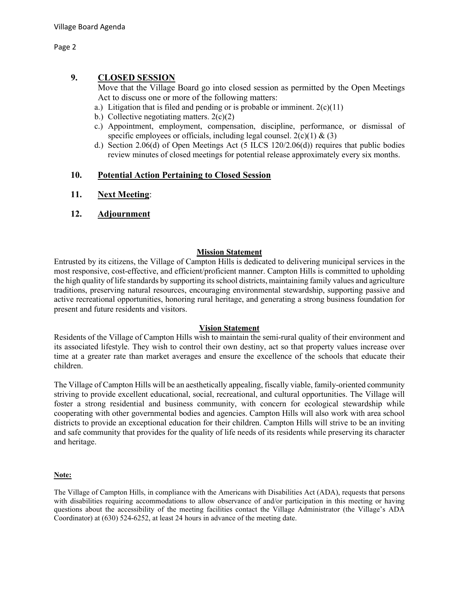Page 2

#### **9. CLOSED SESSION**

Move that the Village Board go into closed session as permitted by the Open Meetings Act to discuss one or more of the following matters:

- a.) Litigation that is filed and pending or is probable or imminent.  $2(c)(11)$
- b.) Collective negotiating matters.  $2(c)(2)$
- c.) Appointment, employment, compensation, discipline, performance, or dismissal of specific employees or officials, including legal counsel.  $2(c)(1) \& (3)$
- d.) Section 2.06(d) of Open Meetings Act (5 ILCS 120/2.06(d)) requires that public bodies review minutes of closed meetings for potential release approximately every six months.

#### **10. Potential Action Pertaining to Closed Session**

- **11. Next Meeting**:
- **12. Adjournment**

#### **Mission Statement**

Entrusted by its citizens, the Village of Campton Hills is dedicated to delivering municipal services in the most responsive, cost-effective, and efficient/proficient manner. Campton Hills is committed to upholding the high quality of life standards by supporting its school districts, maintaining family values and agriculture traditions, preserving natural resources, encouraging environmental stewardship, supporting passive and active recreational opportunities, honoring rural heritage, and generating a strong business foundation for present and future residents and visitors.

#### **Vision Statement**

Residents of the Village of Campton Hills wish to maintain the semi-rural quality of their environment and its associated lifestyle. They wish to control their own destiny, act so that property values increase over time at a greater rate than market averages and ensure the excellence of the schools that educate their children.

The Village of Campton Hills will be an aesthetically appealing, fiscally viable, family-oriented community striving to provide excellent educational, social, recreational, and cultural opportunities. The Village will foster a strong residential and business community, with concern for ecological stewardship while cooperating with other governmental bodies and agencies. Campton Hills will also work with area school districts to provide an exceptional education for their children. Campton Hills will strive to be an inviting and safe community that provides for the quality of life needs of its residents while preserving its character and heritage.

#### **Note:**

The Village of Campton Hills, in compliance with the Americans with Disabilities Act (ADA), requests that persons with disabilities requiring accommodations to allow observance of and/or participation in this meeting or having questions about the accessibility of the meeting facilities contact the Village Administrator (the Village's ADA Coordinator) at (630) 524-6252, at least 24 hours in advance of the meeting date.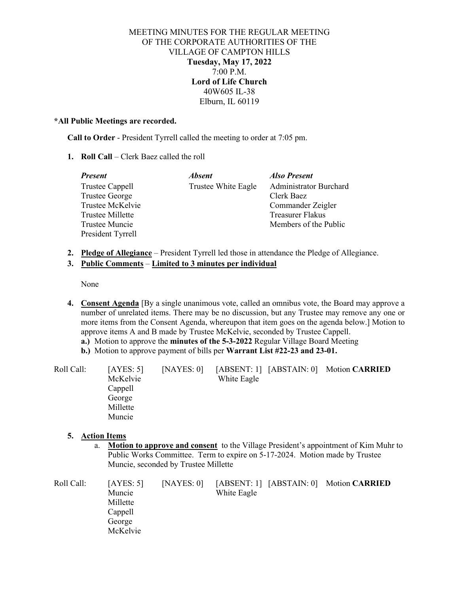#### MEETING MINUTES FOR THE REGULAR MEETING OF THE CORPORATE AUTHORITIES OF THE VILLAGE OF CAMPTON HILLS **Tuesday, May 17, 2022** 7:00 P.M. **Lord of Life Church** 40W605 IL-38 Elburn, IL 60119

#### **\*All Public Meetings are recorded.**

**Call to Order** - President Tyrrell called the meeting to order at 7:05 pm.

**1. Roll Call** – Clerk Baez called the roll

| <b>Present</b>         | <b>Absent</b>       | Also Present                  |
|------------------------|---------------------|-------------------------------|
| <b>Trustee Cappell</b> | Trustee White Eagle | <b>Administrator Burchard</b> |
| <b>Trustee George</b>  |                     | Clerk Baez                    |
| Trustee McKelvie       |                     | Commander Zeigler             |
| Trustee Millette       |                     | Treasurer Flakus              |
| Trustee Muncie         |                     | Members of the Public         |
| President Tyrrell      |                     |                               |

**2. Pledge of Allegiance** – President Tyrrell led those in attendance the Pledge of Allegiance.

#### **3. Public Comments** – **Limited to 3 minutes per individual**

None

- **4. Consent Agenda** [By a single unanimous vote, called an omnibus vote, the Board may approve a number of unrelated items. There may be no discussion, but any Trustee may remove any one or more items from the Consent Agenda, whereupon that item goes on the agenda below.] Motion to approve items A and B made by Trustee McKelvie, seconded by Trustee Cappell.
	- **a.)** Motion to approve the **minutes of the 5-3-2022** Regular Village Board Meeting
	- **b.)** Motion to approve payment of bills per **Warrant List #22-23 and 23-01.**

| [AYES: 5] | [NAYES: 0] |             |                                         |
|-----------|------------|-------------|-----------------------------------------|
| McKelvie  |            | White Eagle |                                         |
| Cappell   |            |             |                                         |
| George    |            |             |                                         |
| Millette  |            |             |                                         |
| Muncie    |            |             |                                         |
|           |            |             | [ABSENT: 1] [ABSTAIN: 0] Motion CARRIED |

#### **5. Action Items**

a. **Motion to approve and consent** to the Village President's appointment of Kim Muhr to Public Works Committee. Term to expire on 5-17-2024. Motion made by Trustee Muncie, seconded by Trustee Millette

| Roll Call: | [AYES: 5] | [NAYES: 0] |             | [ABSENT: 1] [ABSTAIN: 0] Motion CARRIED |
|------------|-----------|------------|-------------|-----------------------------------------|
|            | Muncie    |            | White Eagle |                                         |
|            | Millette  |            |             |                                         |
|            | Cappell   |            |             |                                         |
|            | George    |            |             |                                         |
|            | McKelvie  |            |             |                                         |
|            |           |            |             |                                         |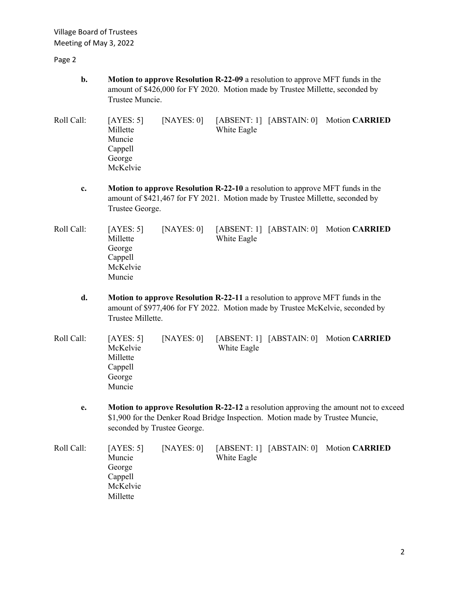Village Board of Trustees Meeting of May 3, 2022

Page 2

- **b. Motion to approve Resolution R-22-09** a resolution to approve MFT funds in the amount of \$426,000 for FY 2020. Motion made by Trustee Millette, seconded by Trustee Muncie.
- Roll Call: [AYES: 5] [NAYES: 0] [ABSENT: 1] [ABSTAIN: 0] Motion **CARRIED** Millette White Eagle Muncie Cappell George McKelvie
	- **c. Motion to approve Resolution R-22-10** a resolution to approve MFT funds in the amount of \$421,467 for FY 2021. Motion made by Trustee Millette, seconded by Trustee George.
- Roll Call: [AYES: 5] [NAYES: 0] [ABSENT: 1] [ABSTAIN: 0] Motion **CARRIED** Millette White Eagle George Cappell McKelvie Muncie
	- **d. Motion to approve Resolution R-22-11** a resolution to approve MFT funds in the amount of \$977,406 for FY 2022. Motion made by Trustee McKelvie, seconded by Trustee Millette.
- Roll Call: [AYES: 5] [NAYES: 0] [ABSENT: 1] [ABSTAIN: 0] Motion **CARRIED** McKelvie White Eagle Millette Cappell George Muncie
	- **e. Motion to approve Resolution R-22-12** a resolution approving the amount not to exceed \$1,900 for the Denker Road Bridge Inspection. Motion made by Trustee Muncie, seconded by Trustee George.

Roll Call: [AYES: 5] [NAYES: 0] [ABSENT: 1] [ABSTAIN: 0] Motion **CARRIED** Muncie White Eagle George Cappell McKelvie Millette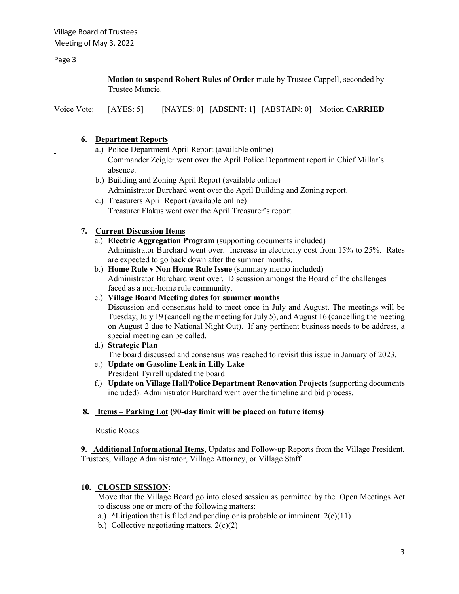Page 3

**Motion to suspend Robert Rules of Order** made by Trustee Cappell, seconded by Trustee Muncie.

Voice Vote: [AYES: 5] [NAYES: 0] [ABSENT: 1] [ABSTAIN: 0] Motion **CARRIED**

#### **6. Department Reports**

- a.) Police Department April Report (available online) Commander Zeigler went over the April Police Department report in Chief Millar's absence.
- b.) Building and Zoning April Report (available online) Administrator Burchard went over the April Building and Zoning report.
- c.) Treasurers April Report (available online) Treasurer Flakus went over the April Treasurer's report

#### **7. Current Discussion Items**

- a.) **Electric Aggregation Program** (supporting documents included) Administrator Burchard went over. Increase in electricity cost from 15% to 25%. Rates are expected to go back down after the summer months.
- b.) **Home Rule v Non Home Rule Issue** (summary memo included) Administrator Burchard went over. Discussion amongst the Board of the challenges faced as a non-home rule community.

#### c.) **Village Board Meeting dates for summer months**

Discussion and consensus held to meet once in July and August. The meetings will be Tuesday, July 19 (cancelling the meeting for July 5), and August 16 (cancelling the meeting on August 2 due to National Night Out). If any pertinent business needs to be address, a special meeting can be called.

- d.) **Strategic Plan** The board discussed and consensus was reached to revisit this issue in January of 2023.
- e.) **Update on Gasoline Leak in Lilly Lake** President Tyrrell updated the board
- f.) **Update on Village Hall/Police Department Renovation Projects** (supporting documents included). Administrator Burchard went over the timeline and bid process.

#### **8. Items – Parking Lot (90-day limit will be placed on future items)**

Rustic Roads

**9. Additional Informational Items**, Updates and Follow-up Reports from the Village President, Trustees, Village Administrator, Village Attorney, or Village Staff.

#### **10. CLOSED SESSION**:

Move that the Village Board go into closed session as permitted by the Open Meetings Act to discuss one or more of the following matters:

- a.) \*Litigation that is filed and pending or is probable or imminent.  $2(c)(11)$
- b.) Collective negotiating matters.  $2(c)(2)$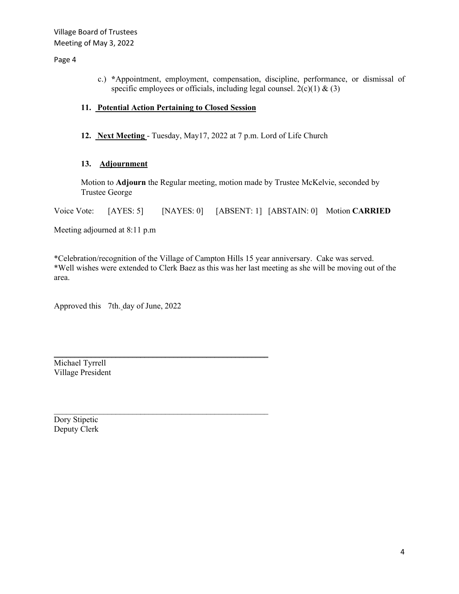#### Page 4

c.) **\***Appointment, employment, compensation, discipline, performance, or dismissal of specific employees or officials, including legal counsel.  $2(c)(1) \& (3)$ 

#### **11. Potential Action Pertaining to Closed Session**

**12. Next Meeting** - Tuesday, May17, 2022 at 7 p.m. Lord of Life Church

#### **13. Adjournment**

Motion to **Adjourn** the Regular meeting, motion made by Trustee McKelvie, seconded by Trustee George

Voice Vote: [AYES: 5] [NAYES: 0] [ABSENT: 1] [ABSTAIN: 0] Motion **CARRIED**

Meeting adjourned at 8:11 p.m

\*Celebration/recognition of the Village of Campton Hills 15 year anniversary. Cake was served. \*Well wishes were extended to Clerk Baez as this was her last meeting as she will be moving out of the area.

Approved this 7th. day of June, 2022

 $\overline{\phantom{a}}$  , and the contract of the contract of the contract of the contract of the contract of the contract of the contract of the contract of the contract of the contract of the contract of the contract of the contrac

\_\_\_\_\_\_\_\_\_\_\_\_\_\_\_\_\_\_\_\_\_\_\_\_\_\_\_\_\_\_\_\_\_\_\_\_\_\_\_\_\_\_\_\_\_\_\_\_\_\_\_\_

Michael Tyrrell Village President

Dory Stipetic Deputy Clerk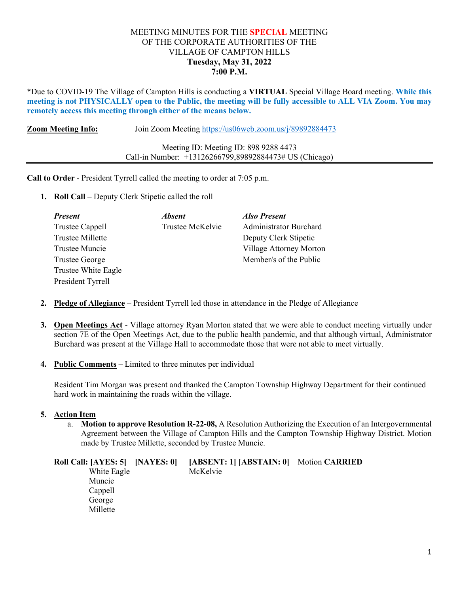#### MEETING MINUTES FOR THE **SPECIAL** MEETING OF THE CORPORATE AUTHORITIES OF THE VILLAGE OF CAMPTON HILLS **Tuesday, May 31, 2022 7:00 P.M.**

\*Due to COVID-19 The Village of Campton Hills is conducting a **VIRTUAL** Special Village Board meeting. **While this meeting is not PHYSICALLY open to the Public, the meeting will be fully accessible to ALL VIA Zoom. You may remotely access this meeting through either of the means below.** 

**Zoom Meeting Info:** Join Zoom Meeting<https://us06web.zoom.us/j/89892884473>

| Meeting ID: Meeting ID: 898 9288 4473                  |
|--------------------------------------------------------|
| Call-in Number: +13126266799,89892884473# US (Chicago) |

**Call to Order** - President Tyrrell called the meeting to order at 7:05 p.m.

**1. Roll Call** – Deputy Clerk Stipetic called the roll

| <b>Present</b>        | <b>Absent</b>    | <b>Also Present</b>           |
|-----------------------|------------------|-------------------------------|
| Trustee Cappell       | Trustee McKelvie | <b>Administrator Burchard</b> |
| Trustee Millette      |                  | Deputy Clerk Stipetic         |
| Trustee Muncie        |                  | Village Attorney Morton       |
| <b>Trustee George</b> |                  | Member/s of the Public        |
| Trustee White Eagle   |                  |                               |
| President Tyrrell     |                  |                               |

- **2. Pledge of Allegiance** President Tyrrell led those in attendance in the Pledge of Allegiance
- **3. Open Meetings Act** Village attorney Ryan Morton stated that we were able to conduct meeting virtually under section 7E of the Open Meetings Act, due to the public health pandemic, and that although virtual, Administrator Burchard was present at the Village Hall to accommodate those that were not able to meet virtually.
- **4. Public Comments** Limited to three minutes per individual

Resident Tim Morgan was present and thanked the Campton Township Highway Department for their continued hard work in maintaining the roads within the village.

#### **5. Action Item**

a. **Motion to approve Resolution R-22-08,** A Resolution Authorizing the Execution of an Intergovernmental Agreement between the Village of Campton Hills and the Campton Township Highway District. Motion made by Trustee Millette, seconded by Trustee Muncie.

| Roll Call: [AYES: 5] [NAYES: 0] | [ABSENT: 1] [ABSTAIN: 0] Motion CARRIED |  |
|---------------------------------|-----------------------------------------|--|
| White Eagle                     | McKelvie                                |  |
| Muncie                          |                                         |  |
| Cappell                         |                                         |  |
| George                          |                                         |  |
| Millette                        |                                         |  |
|                                 |                                         |  |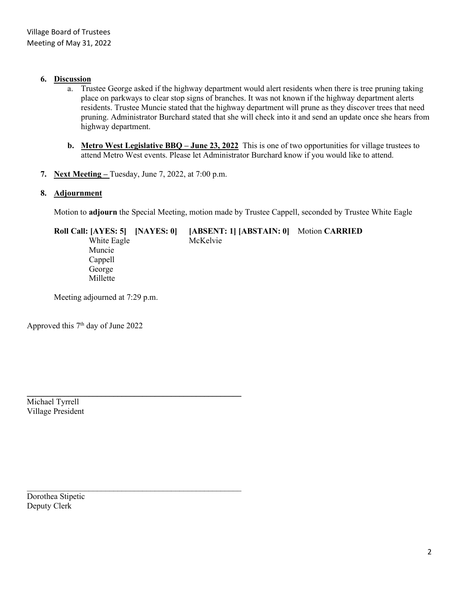#### **6. Discussion**

- a. Trustee George asked if the highway department would alert residents when there is tree pruning taking place on parkways to clear stop signs of branches. It was not known if the highway department alerts residents. Trustee Muncie stated that the highway department will prune as they discover trees that need pruning. Administrator Burchard stated that she will check into it and send an update once she hears from highway department.
- **b. Metro West Legislative BBQ – June 23, 2022** This is one of two opportunities for village trustees to attend Metro West events. Please let Administrator Burchard know if you would like to attend.
- **7. Next Meeting –** Tuesday, June 7, 2022, at 7:00 p.m.

 $\mathcal{L}_\text{max}$  , and the contract of the contract of the contract of the contract of the contract of the contract of the contract of the contract of the contract of the contract of the contract of the contract of the contr

#### **8. Adjournment**

Motion to **adjourn** the Special Meeting, motion made by Trustee Cappell, seconded by Trustee White Eagle

**Roll Call: [AYES: 5] [NAYES: 0] [ABSENT: 1] [ABSTAIN: 0]** Motion **CARRIED** White Eagle McKelvie Muncie Cappell George Millette

Meeting adjourned at 7:29 p.m.

Approved this 7th day of June 2022

\_\_\_\_\_\_\_\_\_\_\_\_\_\_\_\_\_\_\_\_\_\_\_\_\_\_\_\_\_\_\_\_\_\_\_\_\_\_\_\_\_\_\_\_\_\_\_\_\_\_\_\_ Michael Tyrrell Village President

Dorothea Stipetic Deputy Clerk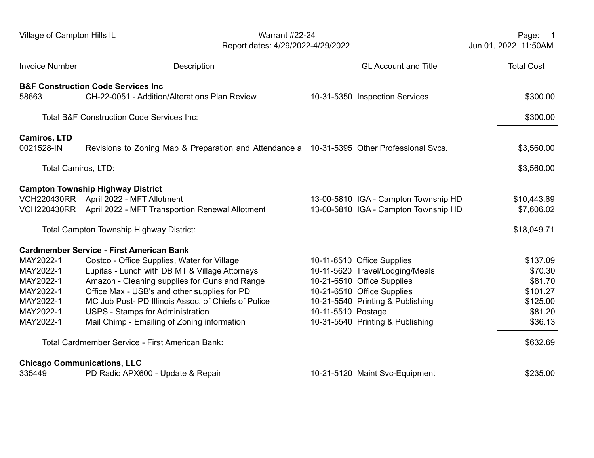| Village of Campton Hills IL                     |                                                      | Warrant #22-24<br>Report dates: 4/29/2022-4/29/2022                                           |                    |                                                               | Page: 1<br>Jun 01, 2022 11:50AM |
|-------------------------------------------------|------------------------------------------------------|-----------------------------------------------------------------------------------------------|--------------------|---------------------------------------------------------------|---------------------------------|
| <b>Invoice Number</b>                           |                                                      | Description                                                                                   |                    | <b>GL Account and Title</b>                                   | <b>Total Cost</b>               |
| <b>B&amp;F Construction Code Services Inc.</b>  |                                                      |                                                                                               |                    |                                                               |                                 |
| 58663                                           |                                                      | CH-22-0051 - Addition/Alterations Plan Review                                                 |                    | 10-31-5350 Inspection Services                                | \$300.00                        |
|                                                 | <b>Total B&amp;F Construction Code Services Inc:</b> |                                                                                               |                    |                                                               | \$300.00                        |
| <b>Camiros, LTD</b>                             |                                                      |                                                                                               |                    |                                                               |                                 |
| 0021528-IN                                      |                                                      | Revisions to Zoning Map & Preparation and Attendance a 10-31-5395 Other Professional Svcs.    |                    |                                                               | \$3,560.00                      |
| Total Camiros, LTD:                             |                                                      |                                                                                               |                    |                                                               | \$3,560.00                      |
| <b>Campton Township Highway District</b>        |                                                      |                                                                                               |                    |                                                               |                                 |
| VCH220430RR April 2022 - MFT Allotment          |                                                      |                                                                                               |                    | 13-00-5810 IGA - Campton Township HD                          | \$10,443.69                     |
|                                                 |                                                      | VCH220430RR April 2022 - MFT Transportion Renewal Allotment                                   |                    | 13-00-5810 IGA - Campton Township HD                          | \$7,606.02                      |
|                                                 | Total Campton Township Highway District:             |                                                                                               |                    |                                                               | \$18,049.71                     |
| <b>Cardmember Service - First American Bank</b> |                                                      |                                                                                               |                    |                                                               |                                 |
| MAY2022-1                                       |                                                      | Costco - Office Supplies, Water for Village                                                   |                    | 10-11-6510 Office Supplies                                    | \$137.09                        |
| MAY2022-1<br>MAY2022-1                          |                                                      | Lupitas - Lunch with DB MT & Village Attorneys                                                |                    | 10-11-5620 Travel/Lodging/Meals<br>10-21-6510 Office Supplies | \$70.30<br>\$81.70              |
| MAY2022-1                                       |                                                      | Amazon - Cleaning supplies for Guns and Range<br>Office Max - USB's and other supplies for PD |                    | 10-21-6510 Office Supplies                                    | \$101.27                        |
| MAY2022-1                                       |                                                      | MC Job Post-PD Illinois Assoc, of Chiefs of Police                                            |                    | 10-21-5540 Printing & Publishing                              | \$125.00                        |
| MAY2022-1                                       |                                                      | <b>USPS - Stamps for Administration</b>                                                       | 10-11-5510 Postage |                                                               | \$81.20                         |
| MAY2022-1                                       |                                                      | Mail Chimp - Emailing of Zoning information                                                   |                    | 10-31-5540 Printing & Publishing                              | \$36.13                         |
|                                                 |                                                      | Total Cardmember Service - First American Bank:                                               |                    |                                                               | \$632.69                        |
| <b>Chicago Communications, LLC</b><br>335449    |                                                      | PD Radio APX600 - Update & Repair                                                             |                    | 10-21-5120 Maint Svc-Equipment                                | \$235.00                        |
|                                                 |                                                      |                                                                                               |                    |                                                               |                                 |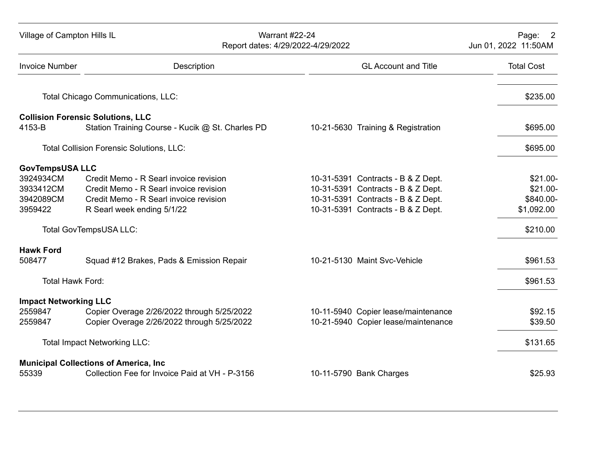| Village of Campton Hills IL  | Report dates: 4/29/2022-4/29/2022                | <b>Warrant #22-24</b>               | Page:<br>$\overline{\phantom{0}}^2$<br>Jun 01, 2022 11:50AM |
|------------------------------|--------------------------------------------------|-------------------------------------|-------------------------------------------------------------|
| <b>Invoice Number</b>        | Description                                      | <b>GL Account and Title</b>         | <b>Total Cost</b>                                           |
|                              | Total Chicago Communications, LLC:               |                                     | \$235.00                                                    |
|                              | <b>Collision Forensic Solutions, LLC</b>         |                                     |                                                             |
| 4153-B                       | Station Training Course - Kucik @ St. Charles PD | 10-21-5630 Training & Registration  | \$695.00                                                    |
|                              | <b>Total Collision Forensic Solutions, LLC:</b>  |                                     | \$695.00                                                    |
| <b>GovTempsUSA LLC</b>       |                                                  |                                     |                                                             |
| 3924934CM                    | Credit Memo - R Searl invoice revision           | 10-31-5391 Contracts - B & Z Dept.  | $$21.00-$                                                   |
| 3933412CM                    | Credit Memo - R Searl invoice revision           | 10-31-5391 Contracts - B & Z Dept.  | \$21.00-                                                    |
| 3942089CM                    | Credit Memo - R Searl invoice revision           | 10-31-5391 Contracts - B & Z Dept.  | \$840.00-                                                   |
| 3959422                      | R Searl week ending 5/1/22                       | 10-31-5391 Contracts - B & Z Dept.  | \$1,092.00                                                  |
|                              | <b>Total GovTempsUSA LLC:</b>                    |                                     | \$210.00                                                    |
| <b>Hawk Ford</b>             |                                                  |                                     |                                                             |
| 508477                       | Squad #12 Brakes, Pads & Emission Repair         | 10-21-5130 Maint Svc-Vehicle        | \$961.53                                                    |
| <b>Total Hawk Ford:</b>      |                                                  |                                     | \$961.53                                                    |
| <b>Impact Networking LLC</b> |                                                  |                                     |                                                             |
| 2559847                      | Copier Overage 2/26/2022 through 5/25/2022       | 10-11-5940 Copier lease/maintenance | \$92.15                                                     |
| 2559847                      | Copier Overage 2/26/2022 through 5/25/2022       | 10-21-5940 Copier lease/maintenance | \$39.50                                                     |
|                              | <b>Total Impact Networking LLC:</b>              |                                     | \$131.65                                                    |
|                              | <b>Municipal Collections of America, Inc.</b>    |                                     |                                                             |
| 55339                        | Collection Fee for Invoice Paid at VH - P-3156   | 10-11-5790 Bank Charges             | \$25.93                                                     |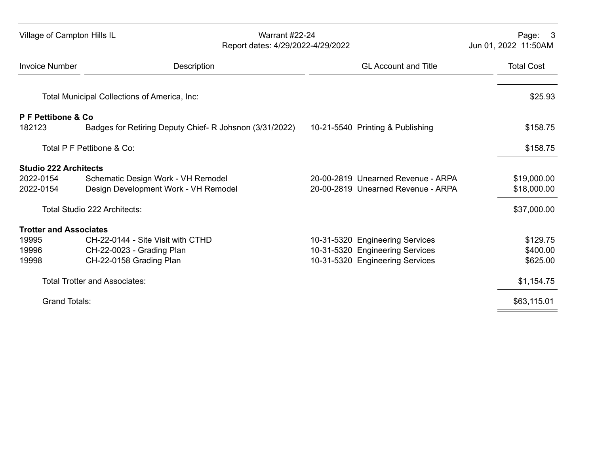| Village of Campton Hills IL   | <b>Warrant #22-24</b><br>Report dates: 4/29/2022-4/29/2022 |                                    | Page:<br>$\mathbf{3}$<br>Jun 01, 2022 11:50AM |
|-------------------------------|------------------------------------------------------------|------------------------------------|-----------------------------------------------|
| <b>Invoice Number</b>         | Description                                                | <b>GL Account and Title</b>        | <b>Total Cost</b>                             |
|                               | Total Municipal Collections of America, Inc:               |                                    | \$25.93                                       |
| P F Pettibone & Co<br>182123  | Badges for Retiring Deputy Chief- R Johsnon (3/31/2022)    | 10-21-5540 Printing & Publishing   | \$158.75                                      |
|                               | Total P F Pettibone & Co:                                  |                                    | \$158.75                                      |
| <b>Studio 222 Architects</b>  |                                                            |                                    |                                               |
| 2022-0154                     | Schematic Design Work - VH Remodel                         | 20-00-2819 Unearned Revenue - ARPA | \$19,000.00                                   |
| 2022-0154                     | Design Development Work - VH Remodel                       | 20-00-2819 Unearned Revenue - ARPA | \$18,000.00                                   |
|                               | Total Studio 222 Architects:                               |                                    | \$37,000.00                                   |
| <b>Trotter and Associates</b> |                                                            |                                    |                                               |
| 19995                         | CH-22-0144 - Site Visit with CTHD                          | 10-31-5320 Engineering Services    | \$129.75                                      |
| 19996                         | CH-22-0023 - Grading Plan                                  | 10-31-5320 Engineering Services    | \$400.00                                      |
| 19998                         | CH-22-0158 Grading Plan                                    | 10-31-5320 Engineering Services    | \$625.00                                      |
|                               | <b>Total Trotter and Associates:</b>                       |                                    | \$1,154.75                                    |
| <b>Grand Totals:</b>          |                                                            |                                    | \$63,115.01                                   |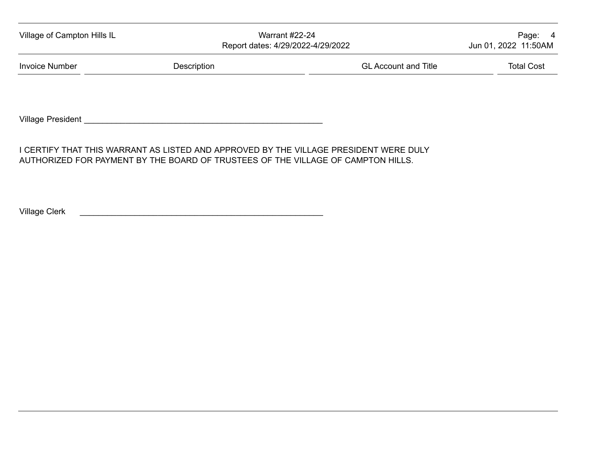| Village of Campton Hills IL<br><b>Warrant #22-24</b><br>Report dates: 4/29/2022-4/29/2022 |             | Page: 4<br>Jun 01, 2022 11:50AM |                   |
|-------------------------------------------------------------------------------------------|-------------|---------------------------------|-------------------|
| <b>Invoice Number</b>                                                                     | Description | <b>GL Account and Title</b>     | <b>Total Cost</b> |
|                                                                                           |             |                                 |                   |

Village President \_\_\_\_\_\_\_\_\_\_\_\_\_\_\_\_\_\_\_\_\_\_\_\_\_\_\_\_\_\_\_\_\_\_\_\_\_\_\_\_\_\_\_\_\_\_\_\_\_\_\_\_

I CERTIFY THAT THIS WARRANT AS LISTED AND APPROVED BY THE VILLAGE PRESIDENT WERE DULY AUTHORIZED FOR PAYMENT BY THE BOARD OF TRUSTEES OF THE VILLAGE OF CAMPTON HILLS.

Village Clerk \_\_\_\_\_\_\_\_\_\_\_\_\_\_\_\_\_\_\_\_\_\_\_\_\_\_\_\_\_\_\_\_\_\_\_\_\_\_\_\_\_\_\_\_\_\_\_\_\_\_\_\_\_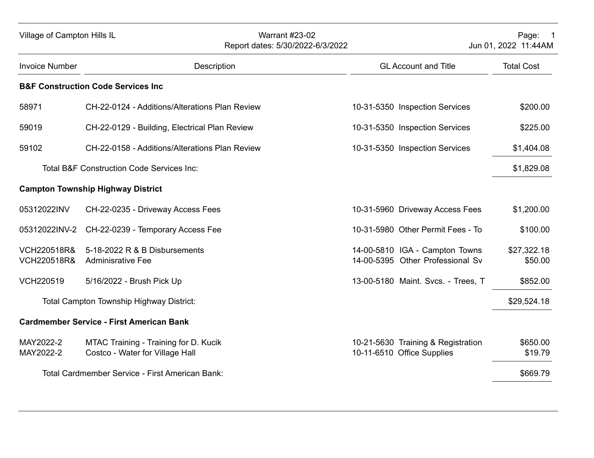| Village of Campton Hills IL                      |                                                                          |                                                | <b>Warrant #23-02</b><br>Report dates: 5/30/2022-6/3/2022 |                                                                    | Page: 1<br>Jun 01, 2022 11:44AM |
|--------------------------------------------------|--------------------------------------------------------------------------|------------------------------------------------|-----------------------------------------------------------|--------------------------------------------------------------------|---------------------------------|
| <b>Invoice Number</b>                            |                                                                          | Description                                    |                                                           | <b>GL Account and Title</b>                                        | <b>Total Cost</b>               |
|                                                  | <b>B&amp;F Construction Code Services Inc</b>                            |                                                |                                                           |                                                                    |                                 |
| 58971                                            |                                                                          | CH-22-0124 - Additions/Alterations Plan Review |                                                           | 10-31-5350 Inspection Services                                     | \$200.00                        |
| 59019                                            |                                                                          | CH-22-0129 - Building, Electrical Plan Review  |                                                           | 10-31-5350 Inspection Services                                     | \$225.00                        |
| 59102                                            |                                                                          | CH-22-0158 - Additions/Alterations Plan Review |                                                           | 10-31-5350 Inspection Services                                     | \$1,404.08                      |
|                                                  | <b>Total B&amp;F Construction Code Services Inc:</b>                     |                                                |                                                           |                                                                    | \$1,829.08                      |
|                                                  | <b>Campton Township Highway District</b>                                 |                                                |                                                           |                                                                    |                                 |
| 05312022INV                                      | CH-22-0235 - Driveway Access Fees                                        |                                                |                                                           | 10-31-5960 Driveway Access Fees                                    | \$1,200.00                      |
| 05312022INV-2                                    | CH-22-0239 - Temporary Access Fee                                        |                                                |                                                           | 10-31-5980 Other Permit Fees - To                                  | \$100.00                        |
| <b>VCH220518R&amp;</b><br><b>VCH220518R&amp;</b> | 5-18-2022 R & B Disbursements<br><b>Adminisrative Fee</b>                |                                                |                                                           | 14-00-5810 IGA - Campton Towns<br>14-00-5395 Other Professional Sv | \$27,322.18<br>\$50.00          |
| VCH220519                                        | 5/16/2022 - Brush Pick Up                                                |                                                |                                                           | 13-00-5180 Maint. Svcs. - Trees, T                                 | \$852.00                        |
|                                                  | <b>Total Campton Township Highway District:</b>                          |                                                |                                                           |                                                                    | \$29,524.18                     |
|                                                  | <b>Cardmember Service - First American Bank</b>                          |                                                |                                                           |                                                                    |                                 |
| MAY2022-2<br>MAY2022-2                           | MTAC Training - Training for D. Kucik<br>Costco - Water for Village Hall |                                                |                                                           | 10-21-5630 Training & Registration<br>10-11-6510 Office Supplies   | \$650.00<br>\$19.79             |
|                                                  | Total Cardmember Service - First American Bank:                          |                                                |                                                           |                                                                    | \$669.79                        |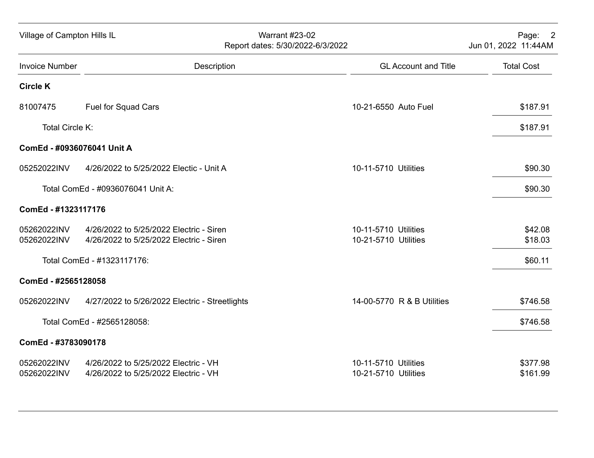| Village of Campton Hills IL |                                                                                    | <b>Warrant #23-02</b><br>Report dates: 5/30/2022-6/3/2022 |                                              | Page: 2<br>Jun 01, 2022 11:44AM |
|-----------------------------|------------------------------------------------------------------------------------|-----------------------------------------------------------|----------------------------------------------|---------------------------------|
| <b>Invoice Number</b>       |                                                                                    | Description                                               | <b>GL Account and Title</b>                  | <b>Total Cost</b>               |
| <b>Circle K</b>             |                                                                                    |                                                           |                                              |                                 |
| 81007475                    | <b>Fuel for Squad Cars</b>                                                         |                                                           | 10-21-6550 Auto Fuel                         | \$187.91                        |
| Total Circle K:             |                                                                                    |                                                           |                                              | \$187.91                        |
| ComEd - #0936076041 Unit A  |                                                                                    |                                                           |                                              |                                 |
| 05252022INV                 | 4/26/2022 to 5/25/2022 Electic - Unit A                                            |                                                           | 10-11-5710 Utilities                         | \$90.30                         |
|                             | Total ComEd - #0936076041 Unit A:                                                  |                                                           |                                              | \$90.30                         |
| ComEd - #1323117176         |                                                                                    |                                                           |                                              |                                 |
| 05262022INV<br>05262022INV  | 4/26/2022 to 5/25/2022 Electric - Siren<br>4/26/2022 to 5/25/2022 Electric - Siren |                                                           | 10-11-5710 Utilities<br>10-21-5710 Utilities | \$42.08<br>\$18.03              |
|                             | Total ComEd - #1323117176:                                                         |                                                           |                                              | \$60.11                         |
| ComEd - #2565128058         |                                                                                    |                                                           |                                              |                                 |
| 05262022INV                 | 4/27/2022 to 5/26/2022 Electric - Streetlights                                     |                                                           | 14-00-5770 R & B Utilities                   | \$746.58                        |
|                             | Total ComEd - #2565128058:                                                         |                                                           |                                              | \$746.58                        |
| ComEd - #3783090178         |                                                                                    |                                                           |                                              |                                 |
| 05262022INV<br>05262022INV  | 4/26/2022 to 5/25/2022 Electric - VH<br>4/26/2022 to 5/25/2022 Electric - VH       |                                                           | 10-11-5710 Utilities<br>10-21-5710 Utilities | \$377.98<br>\$161.99            |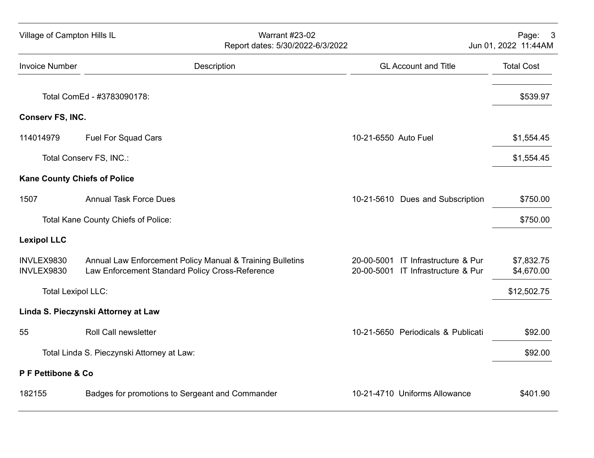| Village of Campton Hills IL |                                     | <b>Warrant #23-02</b>                                                                                        | Report dates: 5/30/2022-6/3/2022 |                                                                          |                          |  |
|-----------------------------|-------------------------------------|--------------------------------------------------------------------------------------------------------------|----------------------------------|--------------------------------------------------------------------------|--------------------------|--|
| <b>Invoice Number</b>       |                                     | Description                                                                                                  |                                  | <b>GL Account and Title</b>                                              | <b>Total Cost</b>        |  |
|                             | Total ComEd - #3783090178:          |                                                                                                              |                                  |                                                                          | \$539.97                 |  |
| Conserv FS, INC.            |                                     |                                                                                                              |                                  |                                                                          |                          |  |
| 114014979                   | <b>Fuel For Squad Cars</b>          |                                                                                                              | 10-21-6550 Auto Fuel             |                                                                          | \$1,554.45               |  |
|                             | Total Conserv FS, INC.:             |                                                                                                              |                                  |                                                                          | \$1,554.45               |  |
|                             | <b>Kane County Chiefs of Police</b> |                                                                                                              |                                  |                                                                          |                          |  |
| 1507                        |                                     | <b>Annual Task Force Dues</b>                                                                                |                                  | 10-21-5610 Dues and Subscription                                         | \$750.00                 |  |
|                             | Total Kane County Chiefs of Police: |                                                                                                              |                                  |                                                                          | \$750.00                 |  |
| <b>Lexipol LLC</b>          |                                     |                                                                                                              |                                  |                                                                          |                          |  |
| INVLEX9830<br>INVLEX9830    |                                     | Annual Law Enforcement Policy Manual & Training Bulletins<br>Law Enforcement Standard Policy Cross-Reference |                                  | 20-00-5001 IT Infrastructure & Pur<br>20-00-5001 IT Infrastructure & Pur | \$7,832.75<br>\$4,670.00 |  |
|                             | <b>Total Lexipol LLC:</b>           |                                                                                                              |                                  |                                                                          | \$12,502.75              |  |
|                             | Linda S. Pieczynski Attorney at Law |                                                                                                              |                                  |                                                                          |                          |  |
| 55                          | <b>Roll Call newsletter</b>         |                                                                                                              |                                  | 10-21-5650 Periodicals & Publicati                                       | \$92.00                  |  |
|                             |                                     | Total Linda S. Pieczynski Attorney at Law:                                                                   |                                  |                                                                          | \$92.00                  |  |
| P F Pettibone & Co          |                                     |                                                                                                              |                                  |                                                                          |                          |  |
| 182155                      |                                     | Badges for promotions to Sergeant and Commander                                                              |                                  | 10-21-4710 Uniforms Allowance                                            | \$401.90                 |  |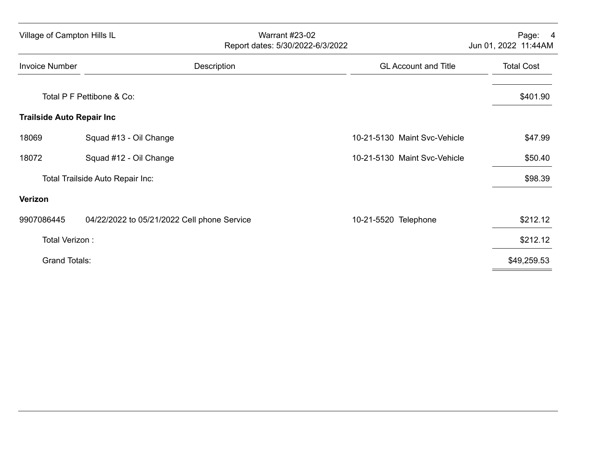|                       | Village of Campton Hills IL                 | <b>Warrant #23-02</b><br>Report dates: 5/30/2022-6/3/2022<br>Jun 01, 2022 11:44AM |                   |  |
|-----------------------|---------------------------------------------|-----------------------------------------------------------------------------------|-------------------|--|
| <b>Invoice Number</b> | Description                                 | <b>GL Account and Title</b>                                                       | <b>Total Cost</b> |  |
|                       | Total P F Pettibone & Co:                   |                                                                                   | \$401.90          |  |
|                       | <b>Trailside Auto Repair Inc.</b>           |                                                                                   |                   |  |
| 18069                 | Squad #13 - Oil Change                      | 10-21-5130 Maint Svc-Vehicle                                                      | \$47.99           |  |
| 18072                 | Squad #12 - Oil Change                      | 10-21-5130 Maint Svc-Vehicle                                                      | \$50.40           |  |
|                       | Total Trailside Auto Repair Inc:            |                                                                                   | \$98.39           |  |
| Verizon               |                                             |                                                                                   |                   |  |
| 9907086445            | 04/22/2022 to 05/21/2022 Cell phone Service | 10-21-5520 Telephone                                                              | \$212.12          |  |
|                       | Total Verizon:                              |                                                                                   | \$212.12          |  |
|                       | <b>Grand Totals:</b>                        |                                                                                   | \$49,259.53       |  |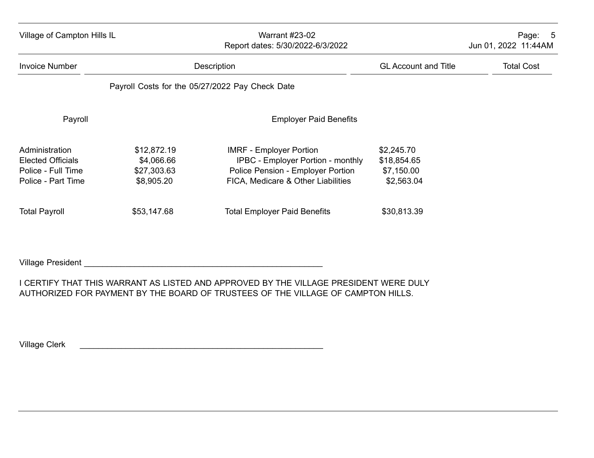| Village of Campton Hills IL                                                            |                                                        | <b>Warrant #23-02</b><br>Report dates: 5/30/2022-6/3/2022                                                                                             | Page:<br>$-5$<br>Jun 01, 2022 11:44AM                 |                   |
|----------------------------------------------------------------------------------------|--------------------------------------------------------|-------------------------------------------------------------------------------------------------------------------------------------------------------|-------------------------------------------------------|-------------------|
| <b>Invoice Number</b>                                                                  |                                                        | Description                                                                                                                                           | <b>GL Account and Title</b>                           | <b>Total Cost</b> |
|                                                                                        |                                                        | Payroll Costs for the 05/27/2022 Pay Check Date                                                                                                       |                                                       |                   |
| Payroll                                                                                |                                                        | <b>Employer Paid Benefits</b>                                                                                                                         |                                                       |                   |
| Administration<br><b>Elected Officials</b><br>Police - Full Time<br>Police - Part Time | \$12,872.19<br>\$4,066.66<br>\$27,303.63<br>\$8,905.20 | <b>IMRF - Employer Portion</b><br><b>IPBC - Employer Portion - monthly</b><br>Police Pension - Employer Portion<br>FICA, Medicare & Other Liabilities | \$2,245.70<br>\$18,854.65<br>\$7,150.00<br>\$2,563.04 |                   |
| <b>Total Payroll</b>                                                                   | \$53,147.68                                            | <b>Total Employer Paid Benefits</b>                                                                                                                   | \$30,813.39                                           |                   |

Village President \_\_\_\_\_\_\_\_\_\_\_\_\_\_\_\_\_\_\_\_\_\_\_\_\_\_\_\_\_\_\_\_\_\_\_\_\_\_\_\_\_\_\_\_\_\_\_\_\_\_\_\_

I CERTIFY THAT THIS WARRANT AS LISTED AND APPROVED BY THE VILLAGE PRESIDENT WERE DULY AUTHORIZED FOR PAYMENT BY THE BOARD OF TRUSTEES OF THE VILLAGE OF CAMPTON HILLS.

Village Clerk **Executive Clerk** and the set of the set of the set of the set of the set of the set of the set of the set of the set of the set of the set of the set of the set of the set of the set of the set of the set of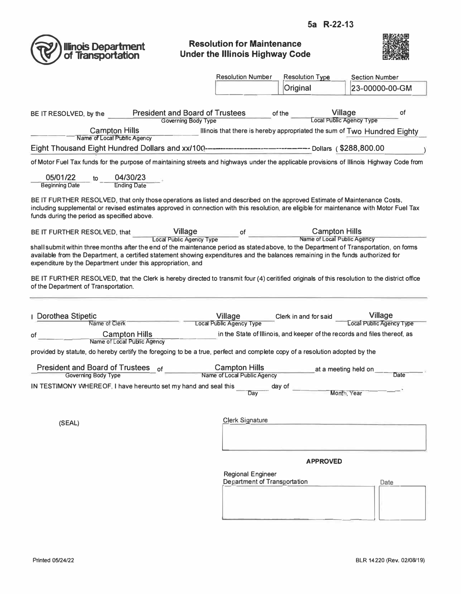

#### **Resolution for Maintenance Under the Illinois Highway Code**



|                                                                                                                                                                                                                                                                                                                                                                               | <b>Resolution Number</b>                            | <b>Resolution Type</b>                                                    | <b>Section Number</b>                                                    |
|-------------------------------------------------------------------------------------------------------------------------------------------------------------------------------------------------------------------------------------------------------------------------------------------------------------------------------------------------------------------------------|-----------------------------------------------------|---------------------------------------------------------------------------|--------------------------------------------------------------------------|
|                                                                                                                                                                                                                                                                                                                                                                               |                                                     | Original                                                                  | 23-00000-00-GM                                                           |
|                                                                                                                                                                                                                                                                                                                                                                               |                                                     |                                                                           |                                                                          |
| <b>President and Board of Trustees</b><br>BE IT RESOLVED, by the                                                                                                                                                                                                                                                                                                              |                                                     | <b>Village</b><br>of the<br>Local Public Agency Type                      | of                                                                       |
| <b>Governing Body Type</b><br><b>Campton Hills</b>                                                                                                                                                                                                                                                                                                                            |                                                     |                                                                           | Illinois that there is hereby appropriated the sum of Two Hundred Eighty |
| Name of Local Public Agency                                                                                                                                                                                                                                                                                                                                                   |                                                     |                                                                           |                                                                          |
|                                                                                                                                                                                                                                                                                                                                                                               |                                                     |                                                                           |                                                                          |
| of Motor Fuel Tax funds for the purpose of maintaining streets and highways under the applicable provisions of Illinois Highway Code from                                                                                                                                                                                                                                     |                                                     |                                                                           |                                                                          |
| 05/01/22<br>04/30/23<br><b>Ending Date</b><br><b>Beginning Date</b>                                                                                                                                                                                                                                                                                                           |                                                     |                                                                           |                                                                          |
| BE IT FURTHER RESOLVED, that only those operations as listed and described on the approved Estimate of Maintenance Costs,<br>including supplemental or revised estimates approved in connection with this resolution, are eligible for maintenance with Motor Fuel Tax<br>funds during the period as specified above.                                                         |                                                     |                                                                           |                                                                          |
| <b>Village</b><br>BE IT FURTHER RESOLVED, that                                                                                                                                                                                                                                                                                                                                | of                                                  | <b>Campton Hills</b>                                                      |                                                                          |
| <b>Local Public Agency Type</b><br>shall submit within three months after the end of the maintenance period as stated above, to the Department of Transportation, on forms<br>available from the Department, a certified statement showing expenditures and the balances remaining in the funds authorized for<br>expenditure by the Department under this appropriation, and |                                                     | Name of Local Public Agency                                               |                                                                          |
| BE IT FURTHER RESOLVED, that the Clerk is hereby directed to transmit four (4) ceritified originals of this resolution to the district office<br>of the Department of Transportation.                                                                                                                                                                                         |                                                     |                                                                           |                                                                          |
| <b>I</b> Dorothea Stipetic<br>Name of Clerk                                                                                                                                                                                                                                                                                                                                   | Village                                             | Clerk in and for said                                                     | <b>Village</b><br><b>Local Public Agency Type</b>                        |
| <b>Campton Hills</b><br>ot                                                                                                                                                                                                                                                                                                                                                    | <b>Local Public Agency Type</b>                     | in the State of Illinois, and keeper of the records and files thereof, as |                                                                          |
| Name of Local Public Agency                                                                                                                                                                                                                                                                                                                                                   |                                                     |                                                                           |                                                                          |
| provided by statute, do hereby certify the foregoing to be a true, perfect and complete copy of a resolution adopted by the                                                                                                                                                                                                                                                   |                                                     |                                                                           |                                                                          |
| <b>President and Board of Trustees</b><br>of                                                                                                                                                                                                                                                                                                                                  | <b>Campton Hills</b><br>Name of Local Public Agency | at a meeting held on                                                      |                                                                          |
| Governing Body Type<br>IN TESTIMONY WHEREOF, I have hereunto set my hand and seal this                                                                                                                                                                                                                                                                                        |                                                     | day of                                                                    | Date                                                                     |
|                                                                                                                                                                                                                                                                                                                                                                               | Dav                                                 | Month, Year                                                               |                                                                          |
|                                                                                                                                                                                                                                                                                                                                                                               |                                                     |                                                                           |                                                                          |
| (SEAL)                                                                                                                                                                                                                                                                                                                                                                        | <b>Clerk Signature</b>                              |                                                                           |                                                                          |
|                                                                                                                                                                                                                                                                                                                                                                               |                                                     |                                                                           |                                                                          |
|                                                                                                                                                                                                                                                                                                                                                                               |                                                     |                                                                           |                                                                          |
|                                                                                                                                                                                                                                                                                                                                                                               |                                                     | <b>APPROVED</b>                                                           |                                                                          |
|                                                                                                                                                                                                                                                                                                                                                                               | <b>Regional Engineer</b>                            |                                                                           |                                                                          |
|                                                                                                                                                                                                                                                                                                                                                                               | Department of Transportation                        |                                                                           | Date                                                                     |
|                                                                                                                                                                                                                                                                                                                                                                               |                                                     |                                                                           |                                                                          |
|                                                                                                                                                                                                                                                                                                                                                                               |                                                     |                                                                           |                                                                          |
|                                                                                                                                                                                                                                                                                                                                                                               |                                                     |                                                                           |                                                                          |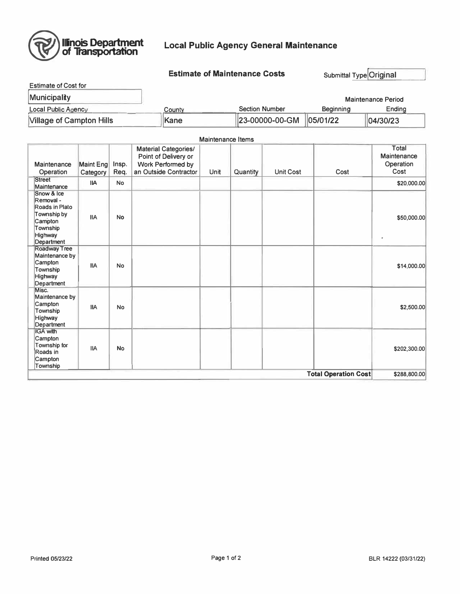

#### **Local Public Agency General Maintenance**

**Estimate of Maintenance Costs** 

Submittal Type Original

| Estimate of Cost for            |             |                       |           |                           |
|---------------------------------|-------------|-----------------------|-----------|---------------------------|
| <b>Municipality</b>             |             |                       |           | <b>Maintenance Period</b> |
| Local Public Agency             | County      | <b>Section Number</b> | Beainning | Endina                    |
| <b>Village of Campton Hills</b> | <b>Kane</b> | 23-00000-00-GM        | 05/01/22  | 04/30/23                  |

#### **Maintenance Items Material Categories/** Total Point of Delivery or Maintenance Operation Maintenance Maint Eng Insp. Work Performed by Req. Cost Operation Category an Outside Contractor Unit Quantity **Unit Cost** Cost Street **IIA**  $\mathsf{No}$ \$20,000.00 Maintenance Snow & Ice Removal -Roads in Plato Township by **IIA No** \$50,000.00 Campton Township **Highway** Department Roadway Tree Maintenance by Campton **IIA No** \$14,000.00 Township Highway Department Misc. Maintenance by Campton **IIA No**  $$2,500.00$ Township Highway Department **IGA** with Campton Township for **IIA No** \$202,300.00 Roads in Campton Township **Total Operation Cost** \$288,800.00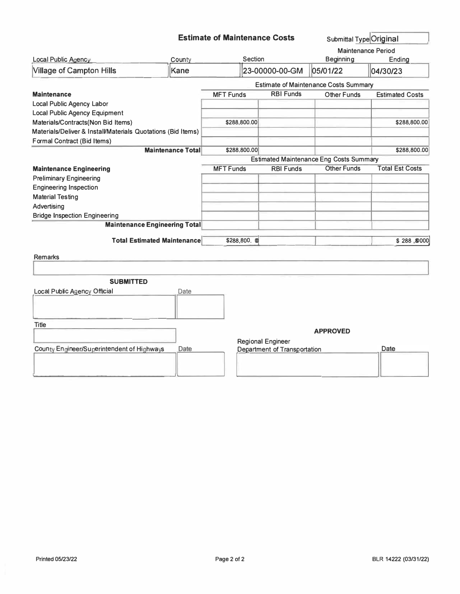|  |  | <b>Estimate of Maintenance Costs</b> |
|--|--|--------------------------------------|
|--|--|--------------------------------------|

Submittal Type Original

| Local Public Agency                                          | County                   | Section          |                                     | <b>Beginning</b>                               | <b>Maintenance Period</b><br>Ending |
|--------------------------------------------------------------|--------------------------|------------------|-------------------------------------|------------------------------------------------|-------------------------------------|
| <b>Village of Campton Hills</b>                              | Kane                     |                  | 23-00000-00-GM                      | 05/01/22                                       | 04/30/23                            |
|                                                              |                          |                  |                                     | <b>Estimate of Maintenance Costs Summary</b>   |                                     |
| <b>Maintenance</b>                                           |                          | <b>MFT Funds</b> | <b>RBI Funds</b>                    | <b>Other Funds</b>                             | <b>Estimated Costs</b>              |
| <b>Local Public Agency Labor</b>                             |                          |                  |                                     |                                                |                                     |
| <b>Local Public Agency Equipment</b>                         |                          |                  |                                     |                                                |                                     |
| Materials/Contracts(Non Bid Items)                           |                          | \$288,800.00     |                                     |                                                | \$288,800.00                        |
| Materials/Deliver & Install/Materials Quotations (Bid Items) |                          |                  |                                     |                                                |                                     |
| Formal Contract (Bid Items)                                  |                          |                  |                                     |                                                |                                     |
|                                                              | <b>Maintenance Total</b> | \$288,800.00     |                                     |                                                | \$288,800.00                        |
|                                                              |                          |                  |                                     | <b>Estimated Maintenance Eng Costs Summary</b> |                                     |
| <b>Maintenance Engineering</b>                               |                          | <b>MFT Funds</b> | <b>RBI Funds</b>                    | <b>Other Funds</b>                             | <b>Total Est Costs</b>              |
| <b>Preliminary Engineering</b>                               |                          |                  |                                     |                                                |                                     |
| <b>Engineering Inspection</b>                                |                          |                  |                                     |                                                |                                     |
| <b>Material Testing</b>                                      |                          |                  |                                     |                                                |                                     |
| Advertising                                                  |                          |                  |                                     |                                                |                                     |
| <b>Bridge Inspection Engineering</b>                         |                          |                  |                                     |                                                |                                     |
| <b>Maintenance Engineering Total</b>                         |                          |                  |                                     |                                                |                                     |
| <b>Total Estimated Maintenance</b>                           |                          | \$288,800. 0     |                                     |                                                | \$288,8000                          |
| <b>Remarks</b>                                               |                          |                  |                                     |                                                |                                     |
|                                                              |                          |                  |                                     |                                                |                                     |
| <b>SUBMITTED</b>                                             |                          |                  |                                     |                                                |                                     |
| <b>Local Public Agency Official</b>                          | Date                     |                  |                                     |                                                |                                     |
|                                                              |                          |                  |                                     |                                                |                                     |
| <b>Title</b>                                                 |                          |                  |                                     |                                                |                                     |
|                                                              |                          |                  |                                     | <b>APPROVED</b>                                |                                     |
|                                                              |                          |                  | <b>Regional Engineer</b>            |                                                |                                     |
| County Engineer/Superintendent of Highways                   | Date                     |                  | <b>Department of Transportation</b> |                                                | Date                                |
|                                                              |                          |                  |                                     |                                                |                                     |
|                                                              |                          |                  |                                     |                                                |                                     |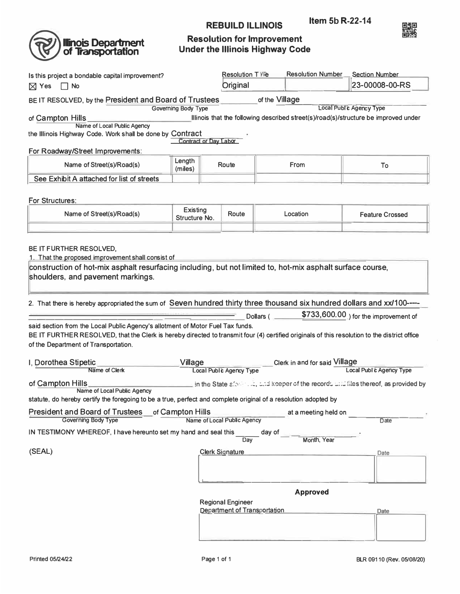

**Illinois Department**<br>of **Transportation** 

## **Resolution for Improvement Under the Illinois Highway Code**

**REBUILD ILLINOIS** 

| Is this project a bondable capital improvement?                                                                                                                                                                                                                        |                       |  | Resolution TYPe                     |           | <b>Resolution Number</b>      | <b>Section Number</b>                                                                             |  |
|------------------------------------------------------------------------------------------------------------------------------------------------------------------------------------------------------------------------------------------------------------------------|-----------------------|--|-------------------------------------|-----------|-------------------------------|---------------------------------------------------------------------------------------------------|--|
| $\boxtimes$ Yes<br>$\Box$ No                                                                                                                                                                                                                                           |                       |  |                                     |           |                               | 23-00008-00-RS                                                                                    |  |
| BE IT RESOLVED, by the President and Board of Trustees                                                                                                                                                                                                                 |                       |  | of the Village                      |           |                               |                                                                                                   |  |
| <b>Local Publ's Agency Type</b><br><b>Governing Body Type</b><br>Illinois that the following described street(s)/road(s)/structure be improved under<br>of Campton Hills                                                                                               |                       |  |                                     |           |                               |                                                                                                   |  |
| Name of Local Public Agency                                                                                                                                                                                                                                            |                       |  |                                     |           |                               |                                                                                                   |  |
| the Illinois Highway Code. Work shall be done by Contract                                                                                                                                                                                                              | Contract or Day Labor |  |                                     |           |                               |                                                                                                   |  |
| For Roadway/Street Improvements:                                                                                                                                                                                                                                       |                       |  |                                     |           |                               |                                                                                                   |  |
| Name of Street(s)/Road(s)                                                                                                                                                                                                                                              | Length<br>(miles)     |  | Route                               |           | From                          | To                                                                                                |  |
| See Exhibit A attached for list of streets                                                                                                                                                                                                                             |                       |  |                                     |           |                               |                                                                                                   |  |
|                                                                                                                                                                                                                                                                        |                       |  |                                     |           |                               |                                                                                                   |  |
| For Structures:                                                                                                                                                                                                                                                        | Existing              |  |                                     |           |                               |                                                                                                   |  |
| Name of Street(s)/Road(s)                                                                                                                                                                                                                                              | Structure No.         |  | Route                               |           | Location                      | <b>Feature Crossed</b>                                                                            |  |
|                                                                                                                                                                                                                                                                        |                       |  |                                     |           |                               |                                                                                                   |  |
| BE IT FURTHER RESOLVED.<br>1. That the proposed improvement shall consist of                                                                                                                                                                                           |                       |  |                                     |           |                               |                                                                                                   |  |
| construction of hot-mix asphalt resurfacing including, but not limited to, hot-mix asphalt surface course,                                                                                                                                                             |                       |  |                                     |           |                               |                                                                                                   |  |
| shoulders, and pavement markings.                                                                                                                                                                                                                                      |                       |  |                                     |           |                               |                                                                                                   |  |
|                                                                                                                                                                                                                                                                        |                       |  |                                     |           |                               |                                                                                                   |  |
| 2. That there is hereby appropriated the sum of Seven hundred thirty three thousand six hundred dollars and xx/100----                                                                                                                                                 |                       |  |                                     |           |                               |                                                                                                   |  |
|                                                                                                                                                                                                                                                                        |                       |  |                                     | Dollars ( |                               | \$733,600.00 ) for the improvement of                                                             |  |
| said section from the Local Public Agency's allotment of Motor Fuel Tax funds.<br>BE IT FURTHER RESOLVED, that the Clerk is hereby directed to transmit four (4) certified originals of this resolution to the district office<br>of the Department of Transportation. |                       |  |                                     |           |                               |                                                                                                   |  |
|                                                                                                                                                                                                                                                                        |                       |  |                                     |           |                               |                                                                                                   |  |
|                                                                                                                                                                                                                                                                        |                       |  |                                     |           |                               |                                                                                                   |  |
| I, Dorothea Stipetic<br>Name of Clerk                                                                                                                                                                                                                                  | Village               |  | <b>Local Public Agency Type</b>     |           | Clerk in and for said Village | <b>Local Publ c Agency Type</b>                                                                   |  |
| of Campton Hills                                                                                                                                                                                                                                                       |                       |  |                                     |           |                               | $\pm$ in the State after $\pm$ . It, and keeper of the records will files thereof, as provided by |  |
| Name of Local Public Agency                                                                                                                                                                                                                                            |                       |  |                                     |           |                               |                                                                                                   |  |
| statute, do hereby certify the foregoing to be a true, perfect and complete original of a resolution adopted by                                                                                                                                                        |                       |  |                                     |           |                               |                                                                                                   |  |
| President and Board of Trustees of Campton Hills<br>Governing Body Type                                                                                                                                                                                                |                       |  | Name of Local Public Agency         |           | at a meeting held on          | <b>Date</b>                                                                                       |  |
| IN TESTIMONY WHEREOF, I have hereunto set my hand and seal this                                                                                                                                                                                                        |                       |  |                                     | day of    |                               |                                                                                                   |  |
|                                                                                                                                                                                                                                                                        |                       |  | Day                                 |           | Month, Year                   |                                                                                                   |  |
| (SEAL)                                                                                                                                                                                                                                                                 |                       |  | <b>Clerk Signature</b>              |           |                               | Date                                                                                              |  |
|                                                                                                                                                                                                                                                                        |                       |  |                                     |           |                               |                                                                                                   |  |
|                                                                                                                                                                                                                                                                        |                       |  |                                     |           |                               |                                                                                                   |  |
|                                                                                                                                                                                                                                                                        |                       |  |                                     |           | <b>Approved</b>               |                                                                                                   |  |
|                                                                                                                                                                                                                                                                        |                       |  | <b>Regional Engineer</b>            |           |                               |                                                                                                   |  |
|                                                                                                                                                                                                                                                                        |                       |  | <b>Department of Transportation</b> |           |                               | Date                                                                                              |  |
|                                                                                                                                                                                                                                                                        |                       |  |                                     |           |                               |                                                                                                   |  |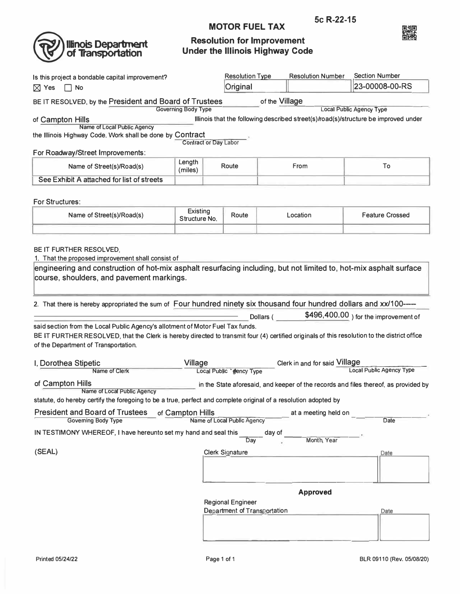

# **Illinois Department**<br>of Transportation

### **Resolution for Improvement Under the Illinois Highway Code**

**MOTOR FUEL TAX** 

| Is this project a bondable capital improvement?                                                                                                                                                                                                                                                                                            |                                  |  | <b>Resolution Type</b>               |           | <b>Resolution Number</b>      | <b>Section Number</b>                                                                                                  |
|--------------------------------------------------------------------------------------------------------------------------------------------------------------------------------------------------------------------------------------------------------------------------------------------------------------------------------------------|----------------------------------|--|--------------------------------------|-----------|-------------------------------|------------------------------------------------------------------------------------------------------------------------|
| $\boxtimes$ Yes<br>$\sqcap$ No                                                                                                                                                                                                                                                                                                             |                                  |  | Original                             |           |                               | 23-00008-00-RS                                                                                                         |
| BE IT RESOLVED, by the President and Board of Trustees                                                                                                                                                                                                                                                                                     |                                  |  | of the Village                       |           |                               |                                                                                                                        |
| of Campton Hills<br>Name of Local Public Agency<br>the Illinois Highway Code. Work shall be done by Contract                                                                                                                                                                                                                               | <b>Governing Body Type</b>       |  |                                      |           |                               | <b>Local Public Agency Type</b><br>Illinois that the following described street(s)/road(s)/structure be improved under |
| For Roadway/Street Improvements:                                                                                                                                                                                                                                                                                                           | <b>Contract or Day Labor</b>     |  |                                      |           |                               |                                                                                                                        |
| Name of Street(s)/Road(s)                                                                                                                                                                                                                                                                                                                  | Length<br>(miles)                |  | Route                                |           | From                          | To                                                                                                                     |
| See Exhibit A attached for list of streets                                                                                                                                                                                                                                                                                                 |                                  |  |                                      |           |                               |                                                                                                                        |
|                                                                                                                                                                                                                                                                                                                                            |                                  |  |                                      |           |                               |                                                                                                                        |
| For Structures:<br>Name of Street(s)/Road(s)                                                                                                                                                                                                                                                                                               | <b>Existing</b><br>Structure No. |  | Route                                |           | Location                      | <b>Feature Crossed</b>                                                                                                 |
|                                                                                                                                                                                                                                                                                                                                            |                                  |  |                                      |           |                               |                                                                                                                        |
| 1. That the proposed improvement shall consist of<br>engineering and construction of hot-mix asphalt resurfacing including, but not limited to, hot-mix asphalt surface<br>course, shoulders, and pavement markings.<br>2. That there is hereby appropriated the sum of Four hundred ninety six thousand four hundred dollars and xx/100-- |                                  |  |                                      |           |                               |                                                                                                                        |
|                                                                                                                                                                                                                                                                                                                                            |                                  |  |                                      | Dollars ( |                               | \$496,400.00 ) for the improvement of                                                                                  |
| said section from the Local Public Agency's allotment of Motor Fuel Tax funds.<br>BE IT FURTHER RESOLVED, that the Clerk is hereby directed to transmit four (4) certified originals of this resolution to the district office<br>of the Department of Transportation.                                                                     |                                  |  |                                      |           |                               |                                                                                                                        |
| I, Dorothea Stipetic                                                                                                                                                                                                                                                                                                                       | <b>Village</b>                   |  |                                      |           | Clerk in and for said Village |                                                                                                                        |
| Name of Clerk                                                                                                                                                                                                                                                                                                                              |                                  |  | Local Public <sup>*</sup> cency Type |           |                               | <b>Local Public Agency Type</b>                                                                                        |
| of Campton Hills<br>Name of Local Public Agency                                                                                                                                                                                                                                                                                            |                                  |  |                                      |           |                               | in the State aforesaid, and keeper of the records and files thereof, as provided by                                    |
| statute, do hereby certify the foregoing to be a true, perfect and complete original of a resolution adopted by                                                                                                                                                                                                                            |                                  |  |                                      |           |                               |                                                                                                                        |
| President and Board of Trustees of Campton Hills                                                                                                                                                                                                                                                                                           |                                  |  |                                      |           | at a meeting held on          |                                                                                                                        |
| <b>Governing Body Type</b><br>IN TESTIMONY WHEREOF, I have hereunto set my hand and seal this                                                                                                                                                                                                                                              |                                  |  | Name of Local Public Agency<br>Dav   | day of    | Month, Year                   | Date                                                                                                                   |
| (SEAL)                                                                                                                                                                                                                                                                                                                                     |                                  |  | <b>Clerk Signature</b>               |           |                               | Date                                                                                                                   |
|                                                                                                                                                                                                                                                                                                                                            |                                  |  |                                      |           |                               |                                                                                                                        |
|                                                                                                                                                                                                                                                                                                                                            |                                  |  |                                      |           | <b>Approved</b>               |                                                                                                                        |
|                                                                                                                                                                                                                                                                                                                                            |                                  |  | <b>Regional Engineer</b>             |           |                               |                                                                                                                        |
|                                                                                                                                                                                                                                                                                                                                            |                                  |  | Department of Transportation         |           |                               | Date                                                                                                                   |
|                                                                                                                                                                                                                                                                                                                                            |                                  |  |                                      |           |                               |                                                                                                                        |
|                                                                                                                                                                                                                                                                                                                                            |                                  |  |                                      |           |                               |                                                                                                                        |